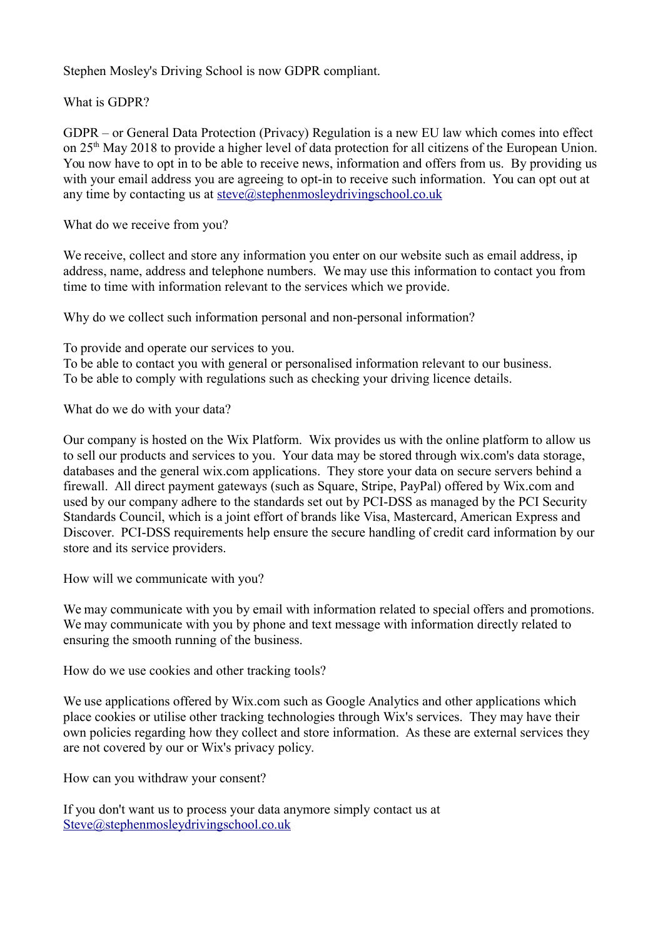Stephen Mosley's Driving School is now GDPR compliant.

What is GDPR?

GDPR – or General Data Protection (Privacy) Regulation is a new EU law which comes into effect on 25th May 2018 to provide a higher level of data protection for all citizens of the European Union. You now have to opt in to be able to receive news, information and offers from us. By providing us with your email address you are agreeing to opt-in to receive such information. You can opt out at any time by contacting us at [steve@stephenmosleydrivingschool.co.uk](mailto:steve@stephenmosleydrivingschool.co.uk)

What do we receive from you?

We receive, collect and store any information you enter on our website such as email address, ip address, name, address and telephone numbers. We may use this information to contact you from time to time with information relevant to the services which we provide.

Why do we collect such information personal and non-personal information?

To provide and operate our services to you. To be able to contact you with general or personalised information relevant to our business. To be able to comply with regulations such as checking your driving licence details.

What do we do with your data?

Our company is hosted on the Wix Platform. Wix provides us with the online platform to allow us to sell our products and services to you. Your data may be stored through wix.com's data storage, databases and the general wix.com applications. They store your data on secure servers behind a firewall. All direct payment gateways (such as Square, Stripe, PayPal) offered by Wix.com and used by our company adhere to the standards set out by PCI-DSS as managed by the PCI Security Standards Council, which is a joint effort of brands like Visa, Mastercard, American Express and Discover. PCI-DSS requirements help ensure the secure handling of credit card information by our store and its service providers.

How will we communicate with you?

We may communicate with you by email with information related to special offers and promotions. We may communicate with you by phone and text message with information directly related to ensuring the smooth running of the business.

How do we use cookies and other tracking tools?

We use applications offered by Wix.com such as Google Analytics and other applications which place cookies or utilise other tracking technologies through Wix's services. They may have their own policies regarding how they collect and store information. As these are external services they are not covered by our or Wix's privacy policy.

How can you withdraw your consent?

If you don't want us to process your data anymore simply contact us at [Steve@stephenmosleydrivingschool.co.uk](mailto:Steve@stephenmosleydrivingschool.co.uk)